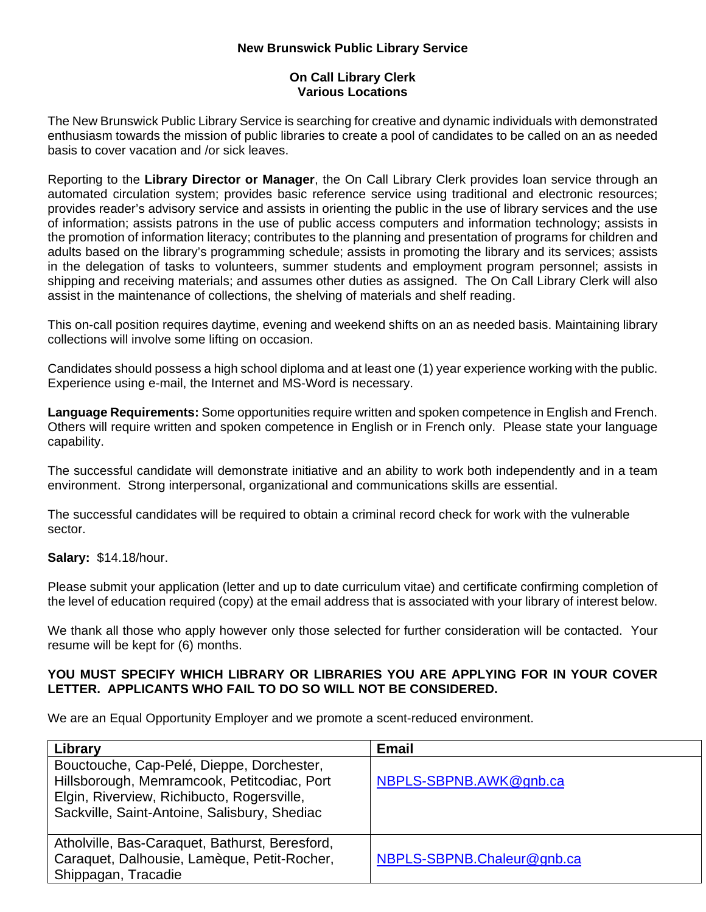## **New Brunswick Public Library Service**

## **On Call Library Clerk Various Locations**

The New Brunswick Public Library Service is searching for creative and dynamic individuals with demonstrated enthusiasm towards the mission of public libraries to create a pool of candidates to be called on an as needed basis to cover vacation and /or sick leaves.

Reporting to the **Library Director or Manager**, the On Call Library Clerk provides loan service through an automated circulation system; provides basic reference service using traditional and electronic resources; provides reader's advisory service and assists in orienting the public in the use of library services and the use of information; assists patrons in the use of public access computers and information technology; assists in the promotion of information literacy; contributes to the planning and presentation of programs for children and adults based on the library's programming schedule; assists in promoting the library and its services; assists in the delegation of tasks to volunteers, summer students and employment program personnel; assists in shipping and receiving materials; and assumes other duties as assigned. The On Call Library Clerk will also assist in the maintenance of collections, the shelving of materials and shelf reading.

This on-call position requires daytime, evening and weekend shifts on an as needed basis. Maintaining library collections will involve some lifting on occasion.

Candidates should possess a high school diploma and at least one (1) year experience working with the public. Experience using e-mail, the Internet and MS-Word is necessary.

**Language Requirements:** Some opportunities require written and spoken competence in English and French. Others will require written and spoken competence in English or in French only. Please state your language capability.

The successful candidate will demonstrate initiative and an ability to work both independently and in a team environment. Strong interpersonal, organizational and communications skills are essential.

The successful candidates will be required to obtain a criminal record check for work with the vulnerable sector.

## **Salary:** \$14.18/hour.

Please submit your application (letter and up to date curriculum vitae) and certificate confirming completion of the level of education required (copy) at the email address that is associated with your library of interest below.

We thank all those who apply however only those selected for further consideration will be contacted. Your resume will be kept for (6) months.

## **YOU MUST SPECIFY WHICH LIBRARY OR LIBRARIES YOU ARE APPLYING FOR IN YOUR COVER LETTER. APPLICANTS WHO FAIL TO DO SO WILL NOT BE CONSIDERED.**

We are an Equal Opportunity Employer and we promote a scent-reduced environment.

| Library                                                                                                                                                                                | <b>Email</b>               |
|----------------------------------------------------------------------------------------------------------------------------------------------------------------------------------------|----------------------------|
| Bouctouche, Cap-Pelé, Dieppe, Dorchester,<br>Hillsborough, Memramcook, Petitcodiac, Port<br>Elgin, Riverview, Richibucto, Rogersville,<br>Sackville, Saint-Antoine, Salisbury, Shediac | NBPLS-SBPNB.AWK@gnb.ca     |
| Atholville, Bas-Caraquet, Bathurst, Beresford,<br>Caraquet, Dalhousie, Lamèque, Petit-Rocher,<br>Shippagan, Tracadie                                                                   | NBPLS-SBPNB.Chaleur@gnb.ca |